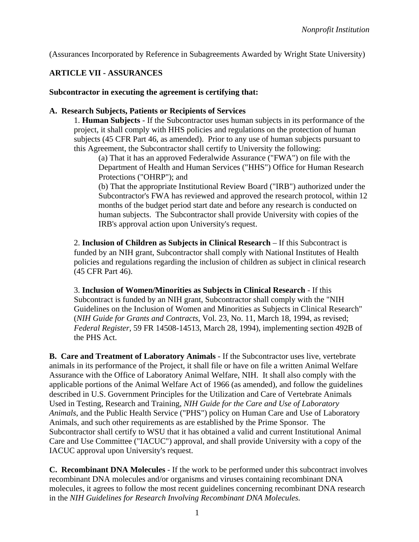(Assurances Incorporated by Reference in Subagreements Awarded by Wright State University)

## **ARTICLE VII - ASSURANCES**

## **Subcontractor in executing the agreement is certifying that:**

## **A. Research Subjects, Patients or Recipients of Services**

1. **Human Subjects** - If the Subcontractor uses human subjects in its performance of the project, it shall comply with HHS policies and regulations on the protection of human subjects (45 CFR Part 46, as amended). Prior to any use of human subjects pursuant to this Agreement, the Subcontractor shall certify to University the following:

(a) That it has an approved Federalwide Assurance ("FWA") on file with the Department of Health and Human Services ("HHS") Office for Human Research Protections ("OHRP"); and

(b) That the appropriate Institutional Review Board ("IRB") authorized under the Subcontractor's FWA has reviewed and approved the research protocol, within 12 months of the budget period start date and before any research is conducted on human subjects. The Subcontractor shall provide University with copies of the IRB's approval action upon University's request.

2. **Inclusion of Children as Subjects in Clinical Research** – If this Subcontract is funded by an NIH grant, Subcontractor shall comply with National Institutes of Health policies and regulations regarding the inclusion of children as subject in clinical research (45 CFR Part 46).

3. **Inclusion of Women/Minorities as Subjects in Clinical Research** - If this Subcontract is funded by an NIH grant, Subcontractor shall comply with the "NIH Guidelines on the Inclusion of Women and Minorities as Subjects in Clinical Research" (*NIH Guide for Grants and Contracts*, Vol. 23, No. 11, March 18, 1994, as revised; *Federal Register*, 59 FR 14508-14513, March 28, 1994), implementing section 492B of the PHS Act.

**B. Care and Treatment of Laboratory Animals** - If the Subcontractor uses live, vertebrate animals in its performance of the Project, it shall file or have on file a written Animal Welfare Assurance with the Office of Laboratory Animal Welfare, NIH. It shall also comply with the applicable portions of the Animal Welfare Act of 1966 (as amended), and follow the guidelines described in U.S. Government Principles for the Utilization and Care of Vertebrate Animals Used in Testing, Research and Training, *NIH Guide for the Care and Use of Laboratory Animals*, and the Public Health Service ("PHS") policy on Human Care and Use of Laboratory Animals, and such other requirements as are established by the Prime Sponsor. The Subcontractor shall certify to WSU that it has obtained a valid and current Institutional Animal Care and Use Committee ("IACUC") approval, and shall provide University with a copy of the IACUC approval upon University's request.

**C. Recombinant DNA Molecules** - If the work to be performed under this subcontract involves recombinant DNA molecules and/or organisms and viruses containing recombinant DNA molecules, it agrees to follow the most recent guidelines concerning recombinant DNA research in the *NIH Guidelines for Research Involving Recombinant DNA Molecules.*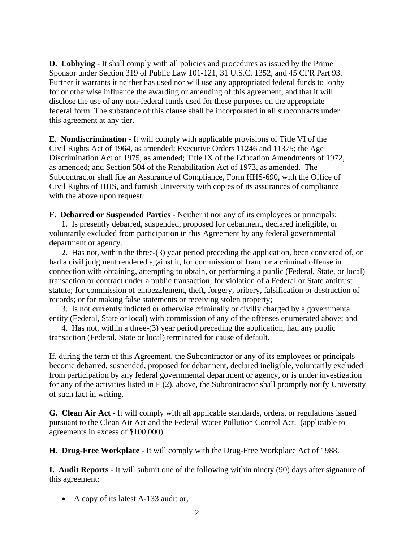**D. Lobbying** - It shall comply with all policies and procedures as issued by the Prime Sponsor under Section 319 of Public Law 101-121, 31 U.S.C. 1352, and 45 CFR Part 93. Further it warrants it neither has used nor will use any appropriated federal funds to lobby for or otherwise influence the awarding or amending of this agreement, and that it will disclose the use of any non-federal funds used for these purposes on the appropriate federal form. The substance of this clause shall be incorporated in all subcontracts under this agreement at any tier.

**E. Nondiscrimination** - It will comply with applicable provisions of Title VI of the Civil Rights Act of 1964, as amended; Executive Orders 11246 and 11375; the Age Discrimination Act of 1975, as amended; Title IX of the Education Amendments of 1972, as amended; and Section 504 of the Rehabilitation Act of 1973, as amended. The Subcontractor shall file an Assurance of Compliance, Form HHS-690, with the Office of Civil Rights of HHS, and furnish University with copies of its assurances of compliance with the above upon request.

**F. Debarred or Suspended Parties** - Neither it nor any of its employees or principals: 1. Is presently debarred, suspended, proposed for debarment, declared ineligible, or voluntarily excluded from participation in this Agreement by any federal governmental department or agency.

2. Has not, within the three-(3) year period preceding the application, been convicted of, or had a civil judgment rendered against it, for commission of fraud or a criminal offense in connection with obtaining, attempting to obtain, or performing a public (Federal, State, or local) transaction or contract under a public transaction; for violation of a Federal or State antitrust statute; for commission of embezzlement, theft, forgery, bribery, falsification or destruction of records; or for making false statements or receiving stolen property;

3. Is not currently indicted or otherwise criminally or civilly charged by a governmental entity (Federal, State or local) with commission of any of the offenses enumerated above; and

4. Has not, within a three-(3) year period preceding the application, had any public transaction (Federal, State or local) terminated for cause of default.

If, during the term of this Agreement, the Subcontractor or any of its employees or principals become debarred, suspended, proposed for debarment, declared ineligible, voluntarily excluded from participation by any federal governmental department or agency, or is under investigation for any of the activities listed in  $F(2)$ , above, the Subcontractor shall promptly notify University of such fact in writing.

**G. Clean Air Act** - It will comply with all applicable standards, orders, or regulations issued pursuant to the Clean Air Act and the Federal Water Pollution Control Act. (applicable to agreements in excess of \$100,000)

**H. Drug-Free Workplace** - It will comply with the Drug-Free Workplace Act of 1988.

**I. Audit Reports** - It will submit one of the following within ninety (90) days after signature of this agreement:

• A copy of its latest A-133 audit or,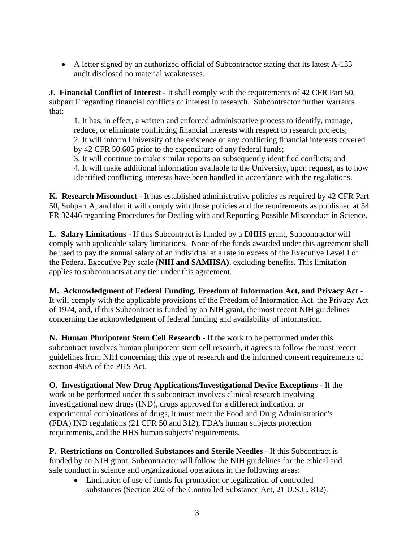A letter signed by an authorized official of Subcontractor stating that its latest A-133 audit disclosed no material weaknesses.

**J. Financial Conflict of Interest** - It shall comply with the requirements of 42 CFR Part 50, subpart F regarding financial conflicts of interest in research. Subcontractor further warrants that:

1. It has, in effect, a written and enforced administrative process to identify, manage, reduce, or eliminate conflicting financial interests with respect to research projects; 2. It will inform University of the existence of any conflicting financial interests covered by 42 CFR 50.605 prior to the expenditure of any federal funds;

3. It will continue to make similar reports on subsequently identified conflicts; and 4. It will make additional information available to the University, upon request, as to how identified conflicting interests have been handled in accordance with the regulations.

**K. Research Misconduct** - It has established administrative policies as required by 42 CFR Part 50, Subpart A, and that it will comply with those policies and the requirements as published at 54 FR 32446 regarding Procedures for Dealing with and Reporting Possible Misconduct in Science.

**L. Salary Limitations** - If this Subcontract is funded by a DHHS grant, Subcontractor will comply with applicable salary limitations. None of the funds awarded under this agreement shall be used to pay the annual salary of an individual at a rate in excess of the Executive Level I of the Federal Executive Pay scale **(NIH and SAMHSA)**, excluding benefits. This limitation applies to subcontracts at any tier under this agreement.

**M. Acknowledgment of Federal Funding, Freedom of Information Act, and Privacy Act** - It will comply with the applicable provisions of the Freedom of Information Act, the Privacy Act of 1974, and, if this Subcontract is funded by an NIH grant, the most recent NIH guidelines concerning the acknowledgment of federal funding and availability of information.

**N. Human Pluripotent Stem Cell Research** - If the work to be performed under this subcontract involves human pluripotent stem cell research, it agrees to follow the most recent guidelines from NIH concerning this type of research and the informed consent requirements of section 498A of the PHS Act.

**O. Investigational New Drug Applications/Investigational Device Exceptions** - If the work to be performed under this subcontract involves clinical research involving investigational new drugs (IND), drugs approved for a different indication, or experimental combinations of drugs, it must meet the Food and Drug Administration's (FDA) IND regulations (21 CFR 50 and 312), FDA's human subjects protection requirements, and the HHS human subjects' requirements.

**P. Restrictions on Controlled Substances and Sterile Needles** - If this Subcontract is funded by an NIH grant, Subcontractor will follow the NIH guidelines for the ethical and safe conduct in science and organizational operations in the following areas:

 Limitation of use of funds for promotion or legalization of controlled substances (Section 202 of the Controlled Substance Act, 21 U.S.C. 812).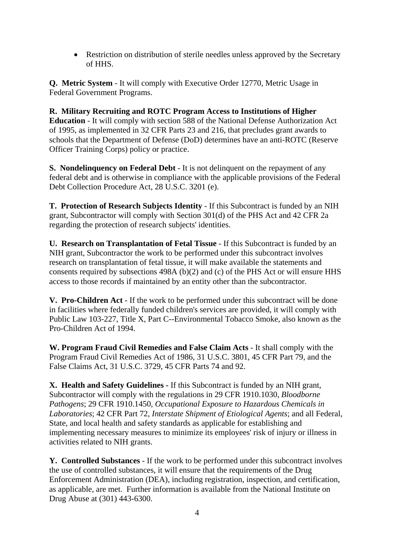• Restriction on distribution of sterile needles unless approved by the Secretary of HHS.

**Q. Metric System** - It will comply with Executive Order 12770, Metric Usage in Federal Government Programs.

**R. Military Recruiting and ROTC Program Access to Institutions of Higher Education** - It will comply with section 588 of the National Defense Authorization Act of 1995, as implemented in 32 CFR Parts 23 and 216, that precludes grant awards to schools that the Department of Defense (DoD) determines have an anti-ROTC (Reserve Officer Training Corps) policy or practice.

**S. Nondelinquency on Federal Debt** - It is not delinquent on the repayment of any federal debt and is otherwise in compliance with the applicable provisions of the Federal Debt Collection Procedure Act, 28 U.S.C. 3201 (e).

**T. Protection of Research Subjects Identity** - If this Subcontract is funded by an NIH grant, Subcontractor will comply with Section 301(d) of the PHS Act and 42 CFR 2a regarding the protection of research subjects' identities.

**U. Research on Transplantation of Fetal Tissue** - If this Subcontract is funded by an NIH grant, Subcontractor the work to be performed under this subcontract involves research on transplantation of fetal tissue, it will make available the statements and consents required by subsections 498A (b)(2) and (c) of the PHS Act or will ensure HHS access to those records if maintained by an entity other than the subcontractor.

**V. Pro-Children Act** - If the work to be performed under this subcontract will be done in facilities where federally funded children's services are provided, it will comply with Public Law 103-227, Title X, Part C--Environmental Tobacco Smoke, also known as the Pro-Children Act of 1994.

**W. Program Fraud Civil Remedies and False Claim Acts** - It shall comply with the Program Fraud Civil Remedies Act of 1986, 31 U.S.C. 3801, 45 CFR Part 79, and the False Claims Act, 31 U.S.C. 3729, 45 CFR Parts 74 and 92.

**X. Health and Safety Guidelines -** If this Subcontract is funded by an NIH grant, Subcontractor will comply with the regulations in 29 CFR 1910.1030, *Bloodborne Pathogens*; 29 CFR 1910.1450*, Occupational Exposure to Hazardous Chemicals in Laboratories*; 42 CFR Part 72*, Interstate Shipment of Etiological Agents*; and all Federal, State, and local health and safety standards as applicable for establishing and implementing necessary measures to minimize its employees' risk of injury or illness in activities related to NIH grants.

**Y. Controlled Substances** - If the work to be performed under this subcontract involves the use of controlled substances, it will ensure that the requirements of the Drug Enforcement Administration (DEA), including registration, inspection, and certification, as applicable, are met. Further information is available from the National Institute on Drug Abuse at (301) 443-6300.